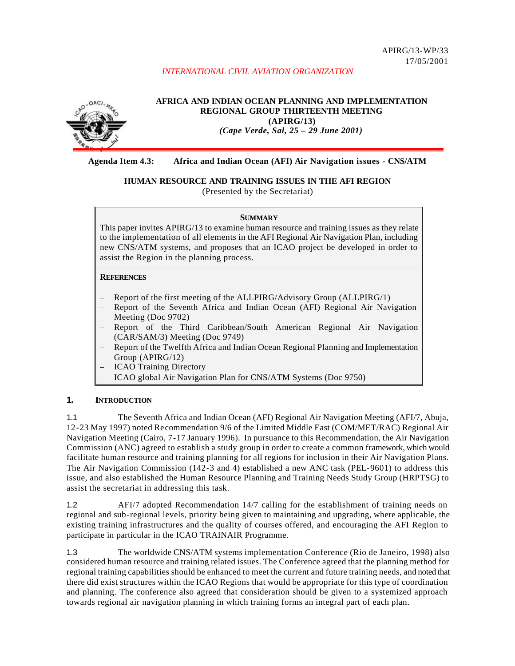# *INTERNATIONAL CIVIL AVIATION ORGANIZATION*



**AFRICA AND INDIAN OCEAN PLANNING AND IMPLEMENTATION REGIONAL GROUP THIRTEENTH MEETING (APIRG/13)** *(Cape Verde, Sal, 25 – 29 June 2001)*

# **Agenda Item 4.3: Africa and Indian Ocean (AFI) Air Navigation issues - CNS/ATM**

# **HUMAN RESOURCE AND TRAINING ISSUES IN THE AFI REGION**

(Presented by the Secretariat)

#### **SUMMARY**

This paper invites APIRG/13 to examine human resource and training issues as they relate to the implementation of all elements in the AFI Regional Air Navigation Plan, including new CNS/ATM systems, and proposes that an ICAO project be developed in order to assist the Region in the planning process.

#### **REFERENCES**

- Report of the first meeting of the ALLPIRG/Advisory Group (ALLPIRG/1)
- Report of the Seventh Africa and Indian Ocean (AFI) Regional Air Navigation Meeting (Doc 9702)
- Report of the Third Caribbean/South American Regional Air Navigation (CAR/SAM/3) Meeting (Doc 9749)
- Report of the Twelfth Africa and Indian Ocean Regional Planning and Implementation Group (APIRG/12)
- ICAO Training Directory
- ICAO global Air Navigation Plan for CNS/ATM Systems (Doc 9750)

# **1. INTRODUCTION**

1.1 The Seventh Africa and Indian Ocean (AFI) Regional Air Navigation Meeting (AFI/7, Abuja, 12-23 May 1997) noted Recommendation 9/6 of the Limited Middle East (COM/MET/RAC) Regional Air Navigation Meeting (Cairo, 7-17 January 1996). In pursuance to this Recommendation, the Air Navigation Commission (ANC) agreed to establish a study group in order to create a common framework, which would facilitate human resource and training planning for all regions for inclusion in their Air Navigation Plans. The Air Navigation Commission (142-3 and 4) established a new ANC task (PEL-9601) to address this issue, and also established the Human Resource Planning and Training Needs Study Group (HRPTSG) to assist the secretariat in addressing this task.

1.2 AFI/7 adopted Recommendation 14/7 calling for the establishment of training needs on regional and sub-regional levels, priority being given to maintaining and upgrading, where applicable, the existing training infrastructures and the quality of courses offered, and encouraging the AFI Region to participate in particular in the ICAO TRAINAIR Programme.

1.3 The worldwide CNS/ATM systems implementation Conference (Rio de Janeiro, 1998) also considered human resource and training related issues. The Conference agreed that the planning method for regional training capabilities should be enhanced to meet the current and future training needs, and noted that there did exist structures within the ICAO Regions that would be appropriate for this type of coordination and planning. The conference also agreed that consideration should be given to a systemized approach towards regional air navigation planning in which training forms an integral part of each plan.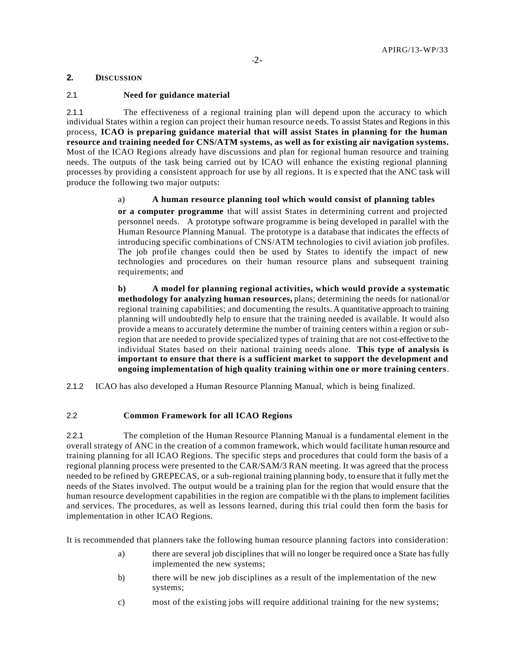# **2. DISCUSSION**

### 2.1 **Need for guidance material**

2.1.1 The effectiveness of a regional training plan will depend upon the accuracy to which individual States within a region can project their human resource ne eds. To assist States and Regions in this process, **ICAO is preparing guidance material that will assist States in planning for the human resource and training needed for CNS/ATM systems, as well as for existing air navigation systems.** Most of the ICAO Regions already have discussions and plan for regional human resource and training needs. The outputs of the task being carried out by ICAO will enhance the existing regional planning processes by providing a consistent approach for use by all regions. It is e xpected that the ANC task will produce the following two major outputs:

#### a) **A human resource planning tool which would consist of planning tables**

**or a computer programme** that will assist States in determining current and projected personnel needs. A prototype software programme is being developed in parallel with the Human Resource Planning Manual. The prototype is a database that indicates the effects of introducing specific combinations of CNS/ATM technologies to civil aviation job profiles. The job profile changes could then be used by States to identify the impact of new technologies and procedures on their human resource plans and subsequent training requirements; and

**b) A model for planning regional activities, which would provide a systematic methodology for analyzing human resources,** plans; determining the needs for national/or regional training capabilities; and documenting the results. A quantitative approach to training planning will undoubtedly help to ensure that the training needed is available. It would also provide a means to accurately determine the number of training centers within a region or subregion that are needed to provide specialized types of training that are not cost-effective to the individual States based on their national training needs alone. **This type of analysis is important to ensure that there is a sufficient market to support the development and ongoing implementation of high quality training within one or more training centers**.

2.1.2 ICAO has also developed a Human Resource Planning Manual, which is being finalized.

#### 2.2 **Common Framework for all ICAO Regions**

2.2.1 The completion of the Human Resource Planning Manual is a fundamental element in the overall strategy of ANC in the creation of a common framework, which would facilitate human resource and training planning for all ICAO Regions. The specific steps and procedures that could form the basis of a regional planning process were presented to the CAR/SAM/3 RAN meeting. It was agreed that the process needed to be refined by GREPECAS, or a sub-regional training planning body, to ensure that it fully met the needs of the States involved. The output would be a training plan for the region that would ensure that the human resource development capabilities in the region are compatible wi th the plans to implement facilities and services. The procedures, as well as lessons learned, during this trial could then form the basis for implementation in other ICAO Regions.

It is recommended that planners take the following human resource planning factors into consideration:

- a) there are several job disciplines that will no longer be required once a State has fully implemented the new systems;
- b) there will be new job disciplines as a result of the implementation of the new systems;
- c) most of the existing jobs will require additional training for the new systems;